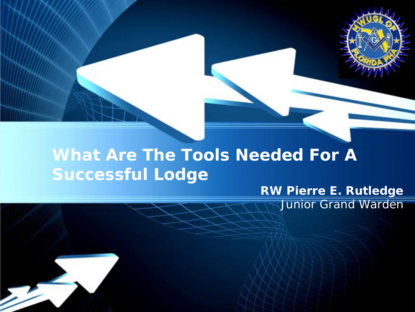#### **What Are The Tools Needed For A Successful Lodge**

#### *RW Pierre E. Rutledge Junior Grand Warden*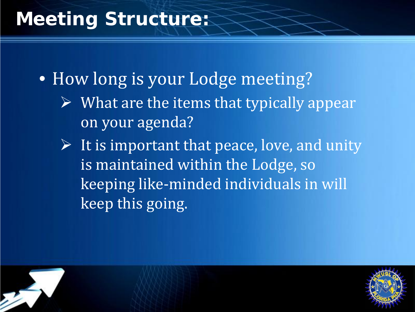# **Meeting Structure:**

• How long is your Lodge meeting?

- $\triangleright$  What are the items that typically appear on your agenda?
- $\triangleright$  It is important that peace, love, and unity is maintained within the Lodge, so keeping like-minded individuals in will keep this going.

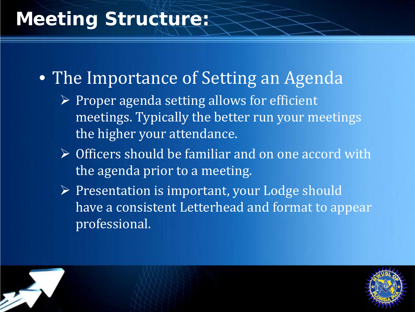# **Meeting Structure:**

• The Importance of Setting an Agenda

- $\triangleright$  Proper agenda setting allows for efficient meetings. Typically the better run your meetings the higher your attendance.
- Officers should be familiar and on one accord with the agenda prior to a meeting.
- Presentation is important, your Lodge should have a consistent Letterhead and format to appear professional.



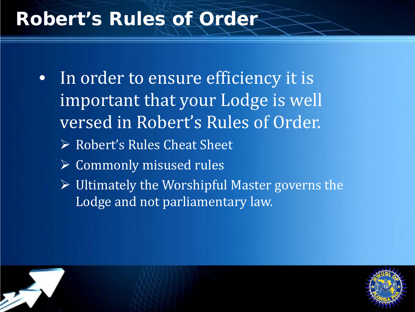# **Robert's Rules of Order**

- In order to ensure efficiency it is important that your Lodge is well versed in Robert's Rules of Order. ▶ Robert's Rules Cheat Sheet  $\triangleright$  Commonly misused rules
	- $\triangleright$  Ultimately the Worshipful Master governs the Lodge and not parliamentary law.



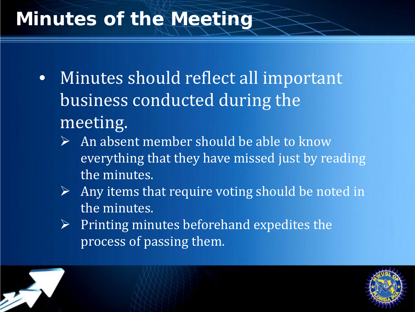# **Minutes of the Meeting**

- Minutes should reflect all important business conducted during the meeting.
	- An absent member should be able to know everything that they have missed just by reading the minutes.
	- $\triangleright$  Any items that require voting should be noted in the minutes.
	- $\triangleright$  Printing minutes beforehand expedites the process of passing them.

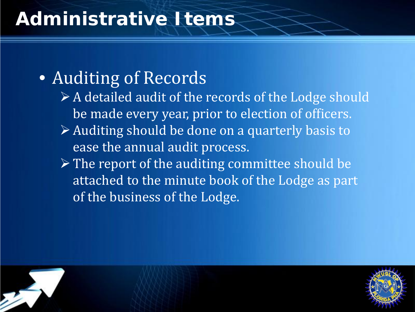# **Administrative Items**

## • Auditing of Records

- $\triangleright$  A detailed audit of the records of the Lodge should be made every year, prior to election of officers.
- Auditing should be done on a quarterly basis to ease the annual audit process.
- $\triangleright$  The report of the auditing committee should be attached to the minute book of the Lodge as part of the business of the Lodge.



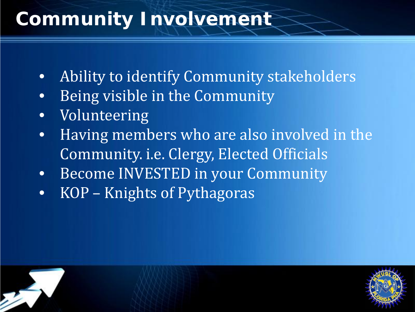# **Community Involvement**

- Ability to identify Community stakeholders
- Being visible in the Community
- Volunteering
- Having members who are also involved in the Community. i.e. Clergy, Elected Officials
- Become INVESTED in your Community
- KOP Knights of Pythagoras

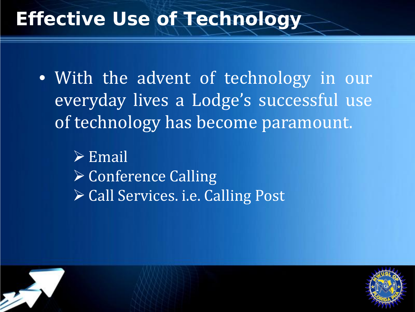# **Effective Use of Technology**

• With the advent of technology in our everyday lives a Lodge's successful use of technology has become paramount.

 $\triangleright$  Email **≻ Conference Calling ≻ Call Services. i.e. Calling Post** 



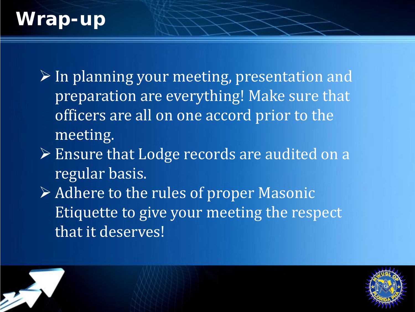# **Wrap-up**

 $\triangleright$  In planning your meeting, presentation and preparation are everything! Make sure that officers are all on one accord prior to the meeting.

- Ensure that Lodge records are audited on a regular basis.
- Adhere to the rules of proper Masonic Etiquette to give your meeting the respect that it deserves!

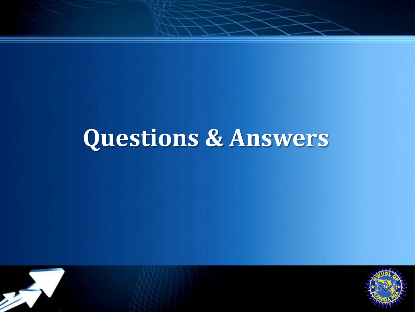# **Questions & Answers**